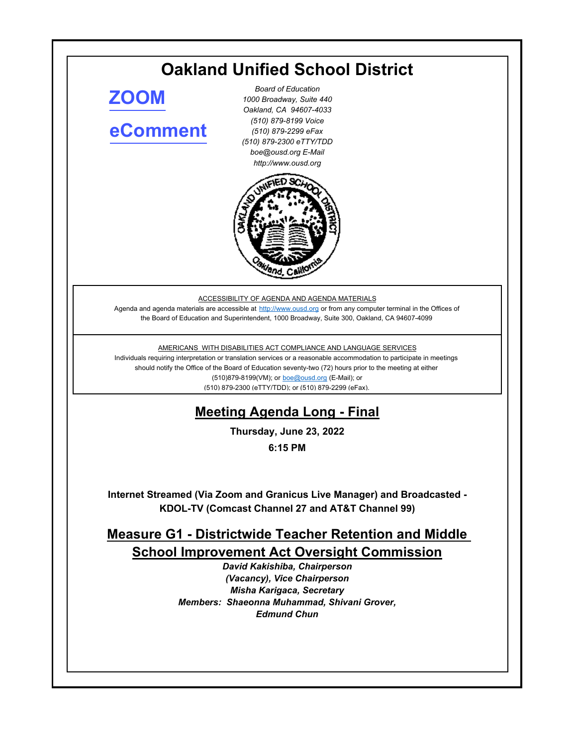# **Oakland Unified School District**

**[ZOOM](https://ousd.zoom.us/j/87007883165)**

# **[eComment](https://ousd.granicusideas.com/meetings/2352-measure-g1-districtwide-teacher-retention-and-middle-school-improvement-act-oversight-commission-on-2022-06-23-6-15-pm)**

*Board of Education 1000 Broadway, Suite 440 Oakland, CA 94607-4033 (510) 879-8199 Voice (510) 879-2299 eFax (510) 879-2300 eTTY/TDD boe@ousd.org E-Mail http://www.ousd.org*



ACCESSIBILITY OF AGENDA AND AGENDA MATERIALS

Agenda and agenda materials are accessible at http://www.ousd.org or from any computer terminal in the Offices of the Board of Education and Superintendent, 1000 Broadway, Suite 300, Oakland, CA 94607-4099

#### AMERICANS WITH DISABILITIES ACT COMPLIANCE AND LANGUAGE SERVICES

Individuals requiring interpretation or translation services or a reasonable accommodation to participate in meetings should notify the Office of the Board of Education seventy-two (72) hours prior to the meeting at either (510)879-8199(VM); or boe@ousd.org (E-Mail); or (510) 879-2300 (eTTY/TDD); or (510) 879-2299 (eFax).

# **Meeting Agenda Long - Final**

**Thursday, June 23, 2022**

**6:15 PM**

**Internet Streamed (Via Zoom and Granicus Live Manager) and Broadcasted - KDOL-TV (Comcast Channel 27 and AT&T Channel 99)**

## **Measure G1 - Districtwide Teacher Retention and Middle School Improvement Act Oversight Commission**

*David Kakishiba, Chairperson (Vacancy), Vice Chairperson Misha Karigaca, Secretary Members: Shaeonna Muhammad, Shivani Grover, Edmund Chun*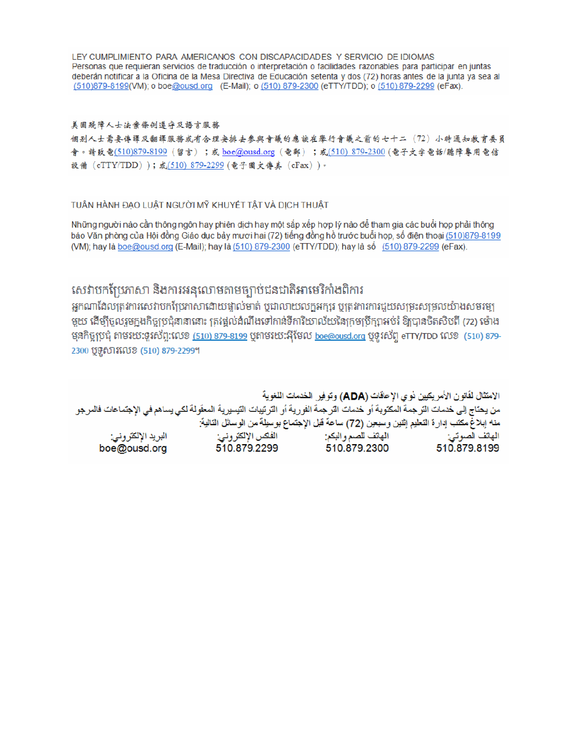LEY CUMPLIMIENTO PARA AMERICANOS CON DISCAPACIDADES Y SERVICIO DE IDIOMAS Personas que requieran servicios de traducción o interpretación o facilidades razonables para participar en juntas deberán notificar a la Oficina de la Mesa Directiva de Educación setenta y dos (72) horas antes de la junta ya sea al (510)879-8199(VM); o boe@ousd.org (E-Mail); o (510) 879-2300 (eTTY/TDD); o (510) 879-2299 (eFax).

#### 美国残障人士法案條例遵守及語言服務

個别人士需要傳譯及翻譯服務或有合理安排去參與會議的應該在舉行會議之前的七十二(72)小時通知教育委員 會。請致電(510)879-8199(留言);或 boe@ousd.org (電郵) ;或(510) 879-2300 (電子文字電話/聽障專用電信 設備 (eTTY/TDD));或(510) 879-2299 (電子圖文傳真 (eFax))。

#### TUẦN HÀNH ĐẠO LUẬT NGƯỜI MỸ KHUYẾT TẤT VÀ DỊCH THUẬT

Những người nào cần thông ngôn hay phiên dịch hay một sắp xếp hợp lý nào để tham gia các buổi họp phải thông báo Văn phòng của Hội đồng Giáo dục bảy mươi hai (72) tiếng đồng hồ trước buổi họp, số điện thoại (510)879-8199 (VM); hay là boe@ousd.org (E-Mail); hay là (510) 879-2300 (eTTY/TDD); hay là số (510) 879-2299 (eFax).

### សេវាបកប្រែភាសា និងការអនុលោមតាមច្បាប់ជនជាតិអាមេរិកាំងពិការ

អកណាដែលត្រូវការសេវាបកប្រែភាសាដោយផ្ទាល់មាត់ ឬជាលាយលក្ខអក្សរ ឬត្រូវការការជួយសម្រះសម្រលយ៉ាងសមរម្យ មួយ ដើម្បីចូលរួមក្នុងកិច្ចប្រជុំនានានោះ ត្រវង្គល់ដំណឹងទៅកាន់ទីការិយាល័យនៃក្រមប្រឹក្សាអប់រំ ឱ្យបានចិតសិបពី (72) ម៉ោង មុនកិច្ចប្រជុំ តាមរយៈទូរស័ព្ទ:លេខ <u>(510) 879-8199</u> បុតាមរយៈអ៊ីមែល <u>boe@ousd.org</u> បុទូរស័ព្ទ eTTY/TDD លេខ (510) 879-2300 ប៊ូទូសារលេខ (510) 879-2299។

الامتثال لقانون الأمريكيين نو ي الإعاقات (ADA) وتوفير الخدمات اللغوية من يحتاج إلى خدمات الترجمة المكتوبة أو خدمات الترجمة الفورية أو الترتيبات التيسيرية المعفّولة لكي يساهم في الإجتماعات فالمرجو منه إبلاغ مكتب إدارة التعليم إثنين وسبعين (72) ساعة قبل الإجتماع بوسيلة من الوسائل التالية: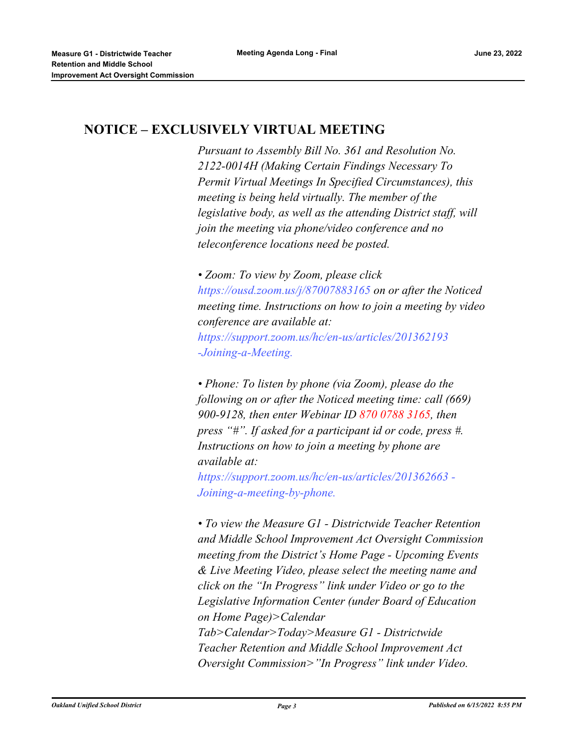### **NOTICE – EXCLUSIVELY VIRTUAL MEETING**

*Pursuant to Assembly Bill No. 361 and Resolution No. 2122-0014H (Making Certain Findings Necessary To Permit Virtual Meetings In Specified Circumstances), this meeting is being held virtually. The member of the legislative body, as well as the attending District staff, will join the meeting via phone/video conference and no teleconference locations need be posted.* 

*• Zoom: To view by Zoom, please click https://ousd.zoom.us/j/87007883165 on or after the Noticed meeting time. Instructions on how to join a meeting by video conference are available at: https://support.zoom.us/hc/en-us/articles/201362193 -Joining-a-Meeting.*

*• Phone: To listen by phone (via Zoom), please do the following on or after the Noticed meeting time: call (669) 900-9128, then enter Webinar ID 870 0788 3165, then press "#". If asked for a participant id or code, press #. Instructions on how to join a meeting by phone are available at:*

*https://support.zoom.us/hc/en-us/articles/201362663 - Joining-a-meeting-by-phone.*

*• To view the Measure G1 - Districtwide Teacher Retention and Middle School Improvement Act Oversight Commission meeting from the District's Home Page - Upcoming Events & Live Meeting Video, please select the meeting name and click on the "In Progress" link under Video or go to the Legislative Information Center (under Board of Education on Home Page)>Calendar Tab>Calendar>Today>Measure G1 - Districtwide Teacher Retention and Middle School Improvement Act Oversight Commission>"In Progress" link under Video.*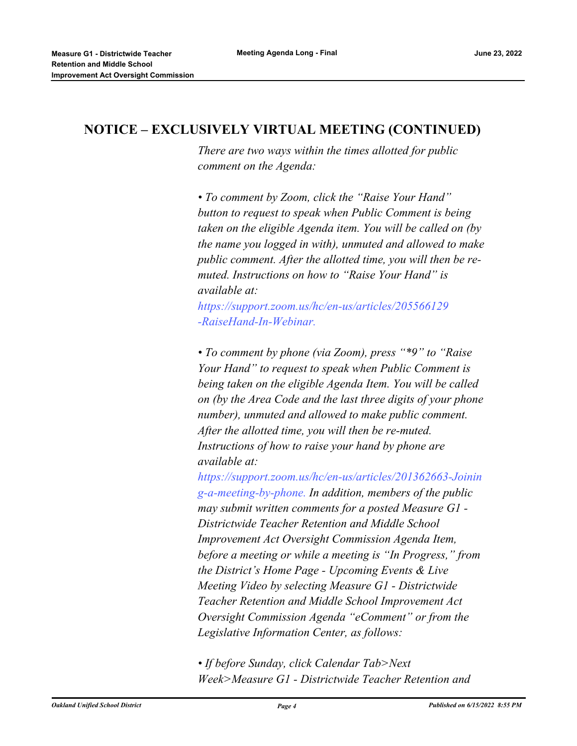#### **NOTICE – EXCLUSIVELY VIRTUAL MEETING (CONTINUED)**

*There are two ways within the times allotted for public comment on the Agenda:* 

*• To comment by Zoom, click the "Raise Your Hand" button to request to speak when Public Comment is being taken on the eligible Agenda item. You will be called on (by the name you logged in with), unmuted and allowed to make public comment. After the allotted time, you will then be remuted. Instructions on how to "Raise Your Hand" is available at:*

*https://support.zoom.us/hc/en-us/articles/205566129 -RaiseHand-In-Webinar.*

*• To comment by phone (via Zoom), press "\*9" to "Raise Your Hand" to request to speak when Public Comment is being taken on the eligible Agenda Item. You will be called on (by the Area Code and the last three digits of your phone number), unmuted and allowed to make public comment. After the allotted time, you will then be re-muted. Instructions of how to raise your hand by phone are available at:*

*https://support.zoom.us/hc/en-us/articles/201362663-Joinin g-a-meeting-by-phone. In addition, members of the public may submit written comments for a posted Measure G1 - Districtwide Teacher Retention and Middle School Improvement Act Oversight Commission Agenda Item, before a meeting or while a meeting is "In Progress," from the District's Home Page - Upcoming Events & Live Meeting Video by selecting Measure G1 - Districtwide Teacher Retention and Middle School Improvement Act Oversight Commission Agenda "eComment" or from the Legislative Information Center, as follows:*

*• If before Sunday, click Calendar Tab>Next Week>Measure G1 - Districtwide Teacher Retention and*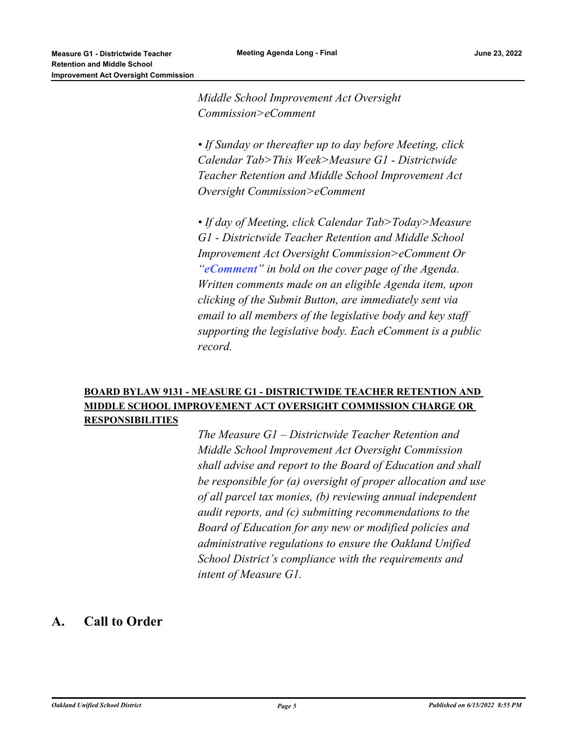*Middle School Improvement Act Oversight Commission>eComment* 

*• If Sunday or thereafter up to day before Meeting, click Calendar Tab>This Week>Measure G1 - Districtwide Teacher Retention and Middle School Improvement Act Oversight Commission>eComment*

*• If day of Meeting, click Calendar Tab>Today>Measure G1 - Districtwide Teacher Retention and Middle School Improvement Act Oversight Commission>eComment Or "eComment" in bold on the cover page of the Agenda. Written comments made on an eligible Agenda item, upon clicking of the Submit Button, are immediately sent via email to all members of the legislative body and key staff supporting the legislative body. Each eComment is a public record.*

#### **BOARD BYLAW 9131 - MEASURE G1 - DISTRICTWIDE TEACHER RETENTION AND MIDDLE SCHOOL IMPROVEMENT ACT OVERSIGHT COMMISSION CHARGE OR RESPONSIBILITIES**

*The Measure G1 – Districtwide Teacher Retention and Middle School Improvement Act Oversight Commission shall advise and report to the Board of Education and shall be responsible for (a) oversight of proper allocation and use of all parcel tax monies, (b) reviewing annual independent audit reports, and (c) submitting recommendations to the Board of Education for any new or modified policies and administrative regulations to ensure the Oakland Unified School District's compliance with the requirements and intent of Measure G1.*

#### **A. Call to Order**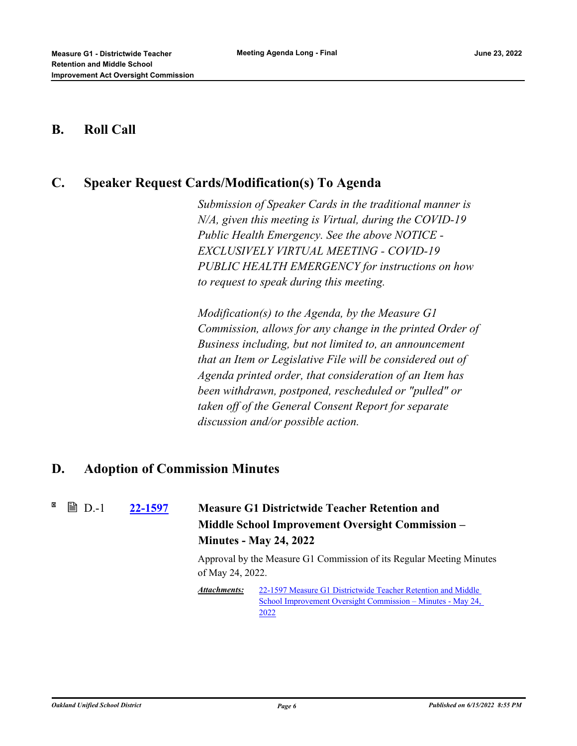#### **B. Roll Call**

### **C. Speaker Request Cards/Modification(s) To Agenda**

*Submission of Speaker Cards in the traditional manner is N/A, given this meeting is Virtual, during the COVID-19 Public Health Emergency. See the above NOTICE - EXCLUSIVELY VIRTUAL MEETING - COVID-19 PUBLIC HEALTH EMERGENCY for instructions on how to request to speak during this meeting.*

*Modification(s) to the Agenda, by the Measure G1 Commission, allows for any change in the printed Order of Business including, but not limited to, an announcement that an Item or Legislative File will be considered out of Agenda printed order, that consideration of an Item has been withdrawn, postponed, rescheduled or "pulled" or taken off of the General Consent Report for separate discussion and/or possible action.*

#### **D. Adoption of Commission Minutes**

**■ D.-1** 

### **[22-1597](http://ousd.legistar.com/gateway.aspx?m=l&id=/matter.aspx?key=55891) Measure G1 Districtwide Teacher Retention and Middle School Improvement Oversight Commission – Minutes - May 24, 2022**

Approval by the Measure G1 Commission of its Regular Meeting Minutes of May 24, 2022.

22-1597 Measure G1 Districtwide Teacher Retention and Middle [School Improvement Oversight Commission – Minutes - May 24,](https://ousd.legistar.com/View.ashx?M=M&ID=978093&GUID=A8F9C524-ADA5-4D14-9158-C7EE1AC8E4FE)  2022 *Attachments:*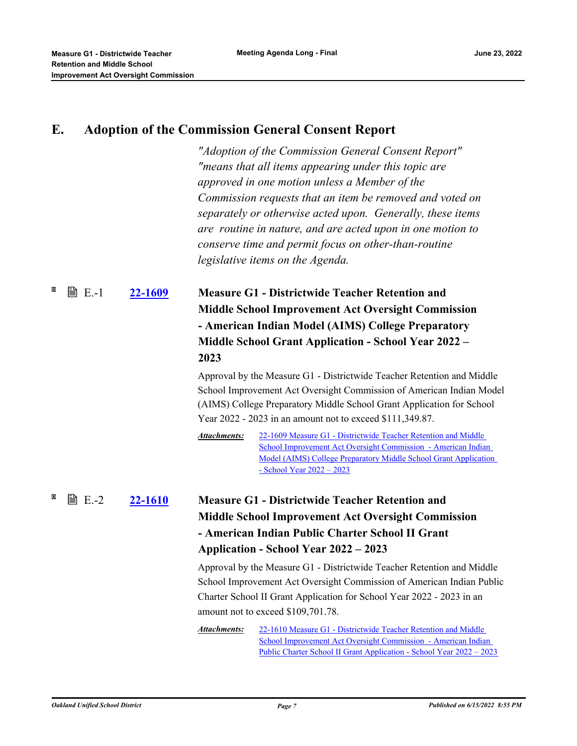### **E. Adoption of the Commission General Consent Report**

*"Adoption of the Commission General Consent Report" "means that all items appearing under this topic are approved in one motion unless a Member of the Commission requests that an item be removed and voted on separately or otherwise acted upon. Generally, these items are routine in nature, and are acted upon in one motion to conserve time and permit focus on other-than-routine legislative items on the Agenda.*

**[22-1609](http://ousd.legistar.com/gateway.aspx?m=l&id=/matter.aspx?key=55901) Measure G1 - Districtwide Teacher Retention and Middle School Improvement Act Oversight Commission - American Indian Model (AIMS) College Preparatory Middle School Grant Application - School Year 2022 – 2023 ■ E.-1** 

> Approval by the Measure G1 - Districtwide Teacher Retention and Middle School Improvement Act Oversight Commission of American Indian Model (AIMS) College Preparatory Middle School Grant Application for School Year 2022 - 2023 in an amount not to exceed \$111,349.87.

22-1609 Measure G1 - Districtwide Teacher Retention and Middle School Improvement Act Oversight Commission - American Indian [Model \(AIMS\) College Preparatory Middle School Grant Application](http://ousd.legistar.com/gateway.aspx?M=F&ID=104786.pdf)  - School Year 2022 – 2023 *Attachments:*

#### **[22-1610](http://ousd.legistar.com/gateway.aspx?m=l&id=/matter.aspx?key=55902) Measure G1 - Districtwide Teacher Retention and Middle School Improvement Act Oversight Commission - American Indian Public Charter School II Grant Application - School Year 2022 – 2023**  $\mathbb{B}$  F.-2

Approval by the Measure G1 - Districtwide Teacher Retention and Middle School Improvement Act Oversight Commission of American Indian Public Charter School II Grant Application for School Year 2022 - 2023 in an amount not to exceed \$109,701.78.

22-1610 Measure G1 - Districtwide Teacher Retention and Middle School Improvement Act Oversight Commission - American Indian [Public Charter School II Grant Application - School Year 2022 – 2023](http://ousd.legistar.com/gateway.aspx?M=F&ID=104787.pdf) *Attachments:*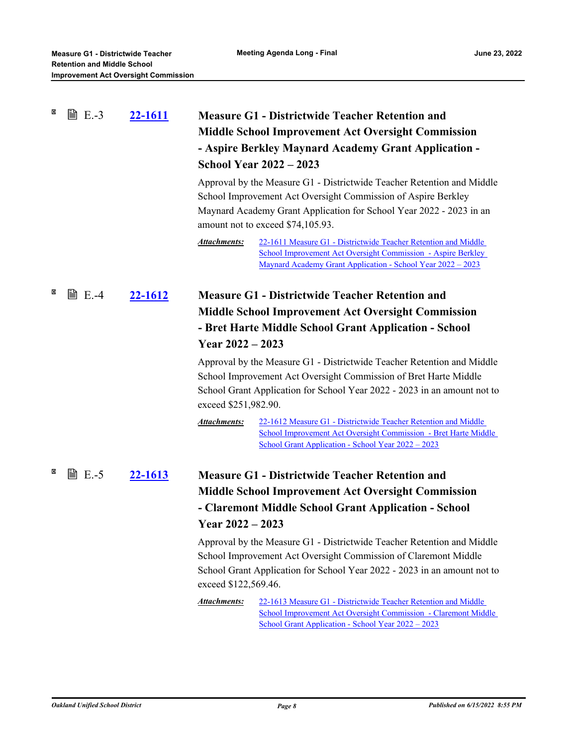| × | <b>■ E.-3</b> | <u>22-1611</u> | <b>Measure G1 - Districtwide Teacher Retention and</b>                                                                                                                                                                                              |  |  |
|---|---------------|----------------|-----------------------------------------------------------------------------------------------------------------------------------------------------------------------------------------------------------------------------------------------------|--|--|
|   |               |                | <b>Middle School Improvement Act Oversight Commission</b>                                                                                                                                                                                           |  |  |
|   |               |                | - Aspire Berkley Maynard Academy Grant Application -                                                                                                                                                                                                |  |  |
|   |               |                | <b>School Year 2022 - 2023</b>                                                                                                                                                                                                                      |  |  |
|   |               |                | Approval by the Measure G1 - Districtwide Teacher Retention and Middle<br>School Improvement Act Oversight Commission of Aspire Berkley<br>Maynard Academy Grant Application for School Year 2022 - 2023 in an<br>amount not to exceed \$74,105.93. |  |  |
|   |               |                | <b>Attachments:</b><br>22-1611 Measure G1 - Districtwide Teacher Retention and Middle<br>School Improvement Act Oversight Commission - Aspire Berkley<br><u> Maynard Academy Grant Application - School Year 2022 – 2023</u>                        |  |  |
| × | <b>■ E.-4</b> | 22-1612        | <b>Measure G1 - Districtwide Teacher Retention and</b>                                                                                                                                                                                              |  |  |
|   |               |                | <b>Middle School Improvement Act Oversight Commission</b>                                                                                                                                                                                           |  |  |
|   |               |                | - Bret Harte Middle School Grant Application - School                                                                                                                                                                                               |  |  |
|   |               |                | Year $2022 - 2023$                                                                                                                                                                                                                                  |  |  |
|   |               |                | Approval by the Measure G1 - Districtwide Teacher Retention and Middle<br>School Improvement Act Oversight Commission of Bret Harte Middle<br>School Grant Application for School Year 2022 - 2023 in an amount not to<br>exceed \$251,982.90.      |  |  |
|   |               |                | <b>Attachments:</b><br>22-1612 Measure G1 - Districtwide Teacher Retention and Middle<br>School Improvement Act Oversight Commission - Bret Harte Middle<br>School Grant Application - School Year 2022 - 2023                                      |  |  |
| × | <b>■ E.-5</b> | 22-1613        | <b>Measure G1 - Districtwide Teacher Retention and</b>                                                                                                                                                                                              |  |  |
|   |               |                | <b>Middle School Improvement Act Oversight Commission</b>                                                                                                                                                                                           |  |  |
|   |               |                | - Claremont Middle School Grant Application - School                                                                                                                                                                                                |  |  |
|   |               |                | Year $2022 - 2023$                                                                                                                                                                                                                                  |  |  |
|   |               |                | Approval by the Measure G1 - Districtwide Teacher Retention and Middle<br>School Improvement Act Oversight Commission of Claremont Middle<br>School Grant Application for School Year 2022 - 2023 in an amount not to<br>exceed \$122,569.46.       |  |  |
|   |               |                | <b>Attachments:</b><br>22-1613 Measure G1 - Districtwide Teacher Retention and Middle<br>School Improvement Act Oversight Commission - Claremont Middle<br>School Grant Application - School Year 2022 – 2023                                       |  |  |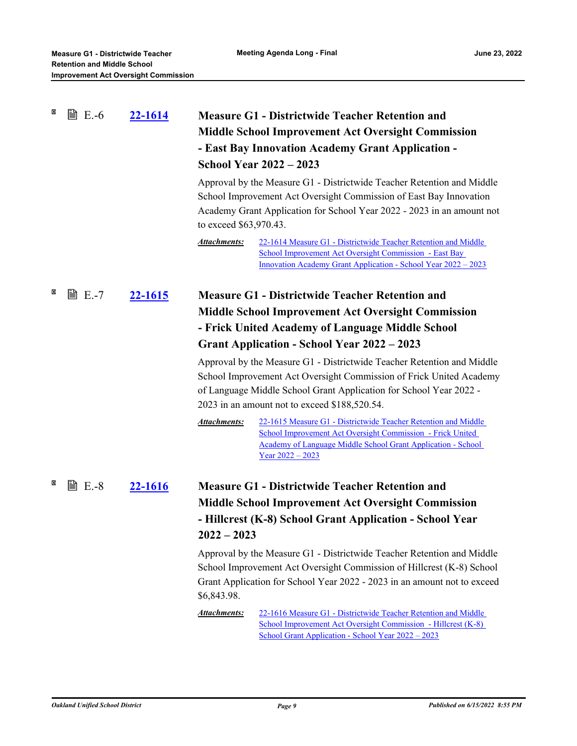| × | <b>■ E.-6</b> | <u>22-1614</u> | <b>Measure G1 - Districtwide Teacher Retention and</b><br><b>Middle School Improvement Act Oversight Commission</b><br>- East Bay Innovation Academy Grant Application -<br><b>School Year 2022 - 2023</b><br>Approval by the Measure G1 - Districtwide Teacher Retention and Middle<br>School Improvement Act Oversight Commission of East Bay Innovation<br>Academy Grant Application for School Year 2022 - 2023 in an amount not                                                                                                                                                                                                                                                                                                                |  |
|---|---------------|----------------|-----------------------------------------------------------------------------------------------------------------------------------------------------------------------------------------------------------------------------------------------------------------------------------------------------------------------------------------------------------------------------------------------------------------------------------------------------------------------------------------------------------------------------------------------------------------------------------------------------------------------------------------------------------------------------------------------------------------------------------------------------|--|
|   |               |                | to exceed \$63,970.43.<br><b>Attachments:</b><br>22-1614 Measure G1 - Districtwide Teacher Retention and Middle<br>School Improvement Act Oversight Commission - East Bay<br><u> Innovation Academy Grant Application - School Year 2022 – 2023</u>                                                                                                                                                                                                                                                                                                                                                                                                                                                                                                 |  |
| × | ■ E.-7        | 22-1615        | <b>Measure G1 - Districtwide Teacher Retention and</b><br><b>Middle School Improvement Act Oversight Commission</b><br>- Frick United Academy of Language Middle School<br><b>Grant Application - School Year 2022 - 2023</b><br>Approval by the Measure G1 - Districtwide Teacher Retention and Middle<br>School Improvement Act Oversight Commission of Frick United Academy<br>of Language Middle School Grant Application for School Year 2022 -<br>2023 in an amount not to exceed \$188,520.54.<br><b>Attachments:</b><br>22-1615 Measure G1 - Districtwide Teacher Retention and Middle<br>School Improvement Act Oversight Commission - Frick United<br>Academy of Language Middle School Grant Application - School<br>$Year\,2022 - 2023$ |  |
| × | <b>■ E.-8</b> | 22-1616        | <b>Measure G1 - Districtwide Teacher Retention and</b><br><b>Middle School Improvement Act Oversight Commission</b><br>- Hillcrest (K-8) School Grant Application - School Year<br>$2022 - 2023$<br>Approval by the Measure G1 - Districtwide Teacher Retention and Middle<br>School Improvement Act Oversight Commission of Hillcrest (K-8) School<br>Grant Application for School Year 2022 - 2023 in an amount not to exceed<br>\$6,843.98.<br><b>Attachments:</b><br>22-1616 Measure G1 - Districtwide Teacher Retention and Middle<br>School Improvement Act Oversight Commission - Hillcrest (K-8)<br>School Grant Application - School Year 2022 – 2023                                                                                      |  |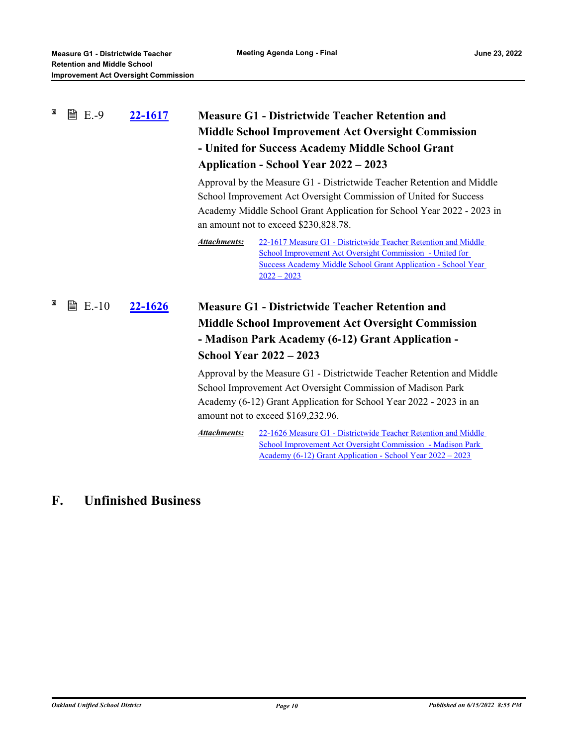| × | <b>■ E.-9</b>  | 22-1617 | <b>Measure G1 - Districtwide Teacher Retention and</b><br><b>Middle School Improvement Act Oversight Commission</b><br>- United for Success Academy Middle School Grant<br>Application - School Year 2022 – 2023                                               |  |
|---|----------------|---------|----------------------------------------------------------------------------------------------------------------------------------------------------------------------------------------------------------------------------------------------------------------|--|
|   |                |         | Approval by the Measure G1 - Districtwide Teacher Retention and Middle<br>School Improvement Act Oversight Commission of United for Success<br>Academy Middle School Grant Application for School Year 2022 - 2023 in<br>an amount not to exceed \$230,828.78. |  |
|   |                |         | Attachments:<br>22-1617 Measure G1 - Districtwide Teacher Retention and Middle<br>School Improvement Act Oversight Commission - United for<br><b>Success Academy Middle School Grant Application - School Year</b><br>$2022 - 2023$                            |  |
| × | <b>■ E.-10</b> | 22-1626 | <b>Measure G1 - Districtwide Teacher Retention and</b><br><b>Middle School Improvement Act Oversight Commission</b><br>- Madison Park Academy (6-12) Grant Application -<br><b>School Year 2022 - 2023</b>                                                     |  |
|   |                |         | Approval by the Measure G1 - Districtwide Teacher Retention and Middle<br>School Improvement Act Oversight Commission of Madison Park<br>Academy (6-12) Grant Application for School Year 2022 - 2023 in an<br>amount not to exceed \$169,232.96.              |  |
|   |                |         | <b>Attachments:</b><br>22-1626 Measure G1 - Districtwide Teacher Retention and Middle<br>School Improvement Act Oversight Commission - Madison Park<br><u> Academy (6-12) Grant Application - School Year 2022 – 2023</u>                                      |  |

# **F. Unfinished Business**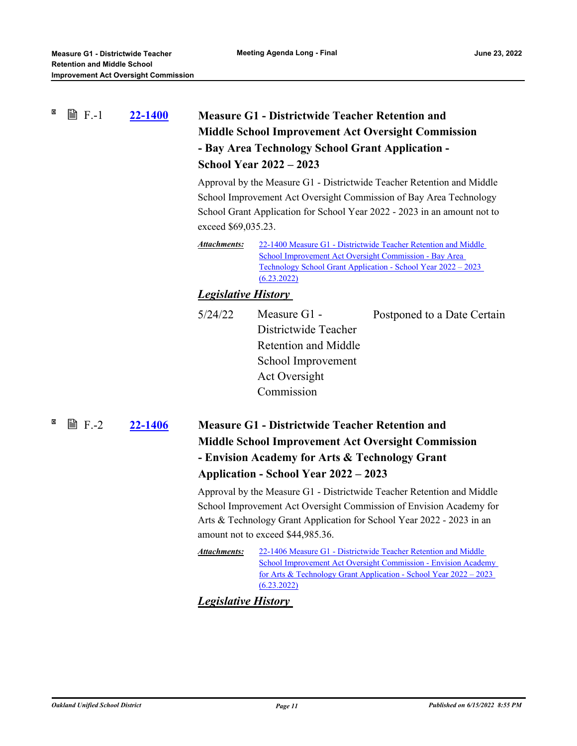| × | <b>圖 F.-1</b>  | 22-1400 | <b>Measure G1 - Districtwide Teacher Retention and</b><br><b>Middle School Improvement Act Oversight Commission</b><br>- Bay Area Technology School Grant Application -<br><b>School Year 2022 - 2023</b><br>Approval by the Measure G1 - Districtwide Teacher Retention and Middle<br>School Improvement Act Oversight Commission of Bay Area Technology<br>School Grant Application for School Year 2022 - 2023 in an amount not to<br>exceed \$69,035.23. |                                                                                                                                                                                                                                                             |  |
|---|----------------|---------|--------------------------------------------------------------------------------------------------------------------------------------------------------------------------------------------------------------------------------------------------------------------------------------------------------------------------------------------------------------------------------------------------------------------------------------------------------------|-------------------------------------------------------------------------------------------------------------------------------------------------------------------------------------------------------------------------------------------------------------|--|
|   |                |         | Attachments:                                                                                                                                                                                                                                                                                                                                                                                                                                                 | 22-1400 Measure G1 - Districtwide Teacher Retention and Middle<br><u> School Improvement Act Oversight Commission - Bay Area</u><br>Technology School Grant Application - School Year 2022 – 2023<br>(6.23.2022)                                            |  |
|   |                |         | <b>Legislative History</b>                                                                                                                                                                                                                                                                                                                                                                                                                                   |                                                                                                                                                                                                                                                             |  |
|   |                |         | 5/24/22                                                                                                                                                                                                                                                                                                                                                                                                                                                      | Measure G1 -<br>Postponed to a Date Certain<br>Districtwide Teacher<br><b>Retention and Middle</b><br>School Improvement<br>Act Oversight<br>Commission                                                                                                     |  |
| × | $\exists$ F.-2 | 22-1406 |                                                                                                                                                                                                                                                                                                                                                                                                                                                              | <b>Measure G1 - Districtwide Teacher Retention and</b>                                                                                                                                                                                                      |  |
|   |                |         |                                                                                                                                                                                                                                                                                                                                                                                                                                                              | <b>Middle School Improvement Act Oversight Commission</b><br>- Envision Academy for Arts & Technology Grant<br>Application - School Year 2022 – 2023                                                                                                        |  |
|   |                |         |                                                                                                                                                                                                                                                                                                                                                                                                                                                              | Approval by the Measure G1 - Districtwide Teacher Retention and Middle<br>School Improvement Act Oversight Commission of Envision Academy for<br>Arts & Technology Grant Application for School Year 2022 - 2023 in an<br>amount not to exceed \$44,985.36. |  |
|   |                |         | Attachments:                                                                                                                                                                                                                                                                                                                                                                                                                                                 | 22-1406 Measure G1 - Districtwide Teacher Retention and Middle<br>School Improvement Act Oversight Commission - Envision Academy<br>for Arts & Technology Grant Application - School Year $2022 - 2023$<br>(6.23.2022)                                      |  |

*Legislative History*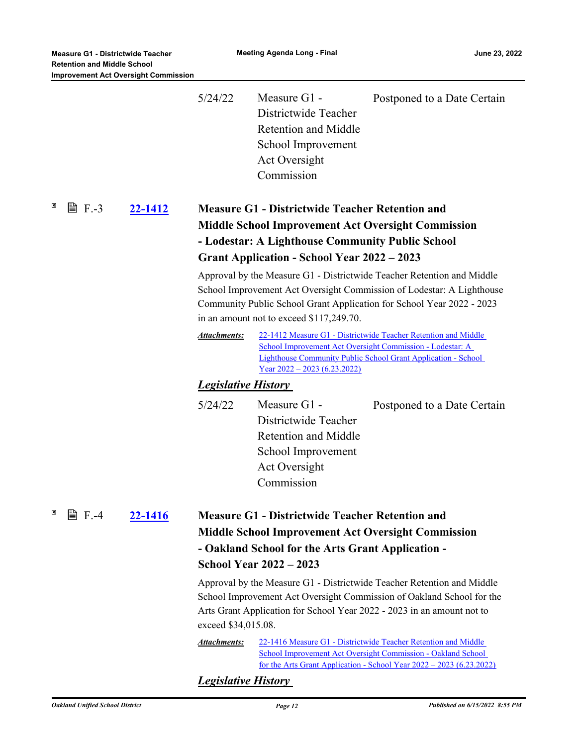|   |                         |                | 5/24/22                                                                                                                                                                                                                                                                                                                                                                                                                                                                                               | Measure G1 -<br>Districtwide Teacher<br><b>Retention and Middle</b><br>School Improvement<br>Act Oversight<br>Commission | Postponed to a Date Certain                                                                                                                                                                                   |  |  |
|---|-------------------------|----------------|-------------------------------------------------------------------------------------------------------------------------------------------------------------------------------------------------------------------------------------------------------------------------------------------------------------------------------------------------------------------------------------------------------------------------------------------------------------------------------------------------------|--------------------------------------------------------------------------------------------------------------------------|---------------------------------------------------------------------------------------------------------------------------------------------------------------------------------------------------------------|--|--|
| × | <b>■ F.-3</b>           | <u>22-1412</u> | <b>Measure G1 - Districtwide Teacher Retention and</b><br><b>Middle School Improvement Act Oversight Commission</b><br>- Lodestar: A Lighthouse Community Public School<br><b>Grant Application - School Year 2022 – 2023</b><br>Approval by the Measure G1 - Districtwide Teacher Retention and Middle<br>School Improvement Act Oversight Commission of Lodestar: A Lighthouse<br>Community Public School Grant Application for School Year 2022 - 2023<br>in an amount not to exceed \$117,249.70. |                                                                                                                          |                                                                                                                                                                                                               |  |  |
|   |                         |                |                                                                                                                                                                                                                                                                                                                                                                                                                                                                                                       |                                                                                                                          |                                                                                                                                                                                                               |  |  |
|   |                         |                | <b>Attachments:</b>                                                                                                                                                                                                                                                                                                                                                                                                                                                                                   | School Improvement Act Oversight Commission - Lodestar: A<br>$\frac{\text{Year } 2022 - 2023 (6.23.2022)}{2000}$         | 22-1412 Measure G1 - Districtwide Teacher Retention and Middle<br><b>Lighthouse Community Public School Grant Application - School</b>                                                                        |  |  |
|   |                         |                | <b>Legislative History</b>                                                                                                                                                                                                                                                                                                                                                                                                                                                                            |                                                                                                                          |                                                                                                                                                                                                               |  |  |
|   |                         |                | 5/24/22                                                                                                                                                                                                                                                                                                                                                                                                                                                                                               | Measure G1 -<br>Districtwide Teacher<br><b>Retention and Middle</b><br>School Improvement<br>Act Oversight<br>Commission | Postponed to a Date Certain                                                                                                                                                                                   |  |  |
| × | 窅<br>$F - 4$<br>22-1416 |                | <b>Measure G1 - Districtwide Teacher Retention and</b><br><b>Middle School Improvement Act Oversight Commission</b><br>- Oakland School for the Arts Grant Application -                                                                                                                                                                                                                                                                                                                              |                                                                                                                          |                                                                                                                                                                                                               |  |  |
|   |                         |                | <b>School Year 2022 - 2023</b>                                                                                                                                                                                                                                                                                                                                                                                                                                                                        |                                                                                                                          |                                                                                                                                                                                                               |  |  |
|   |                         |                | Approval by the Measure G1 - Districtwide Teacher Retention and Middle<br>School Improvement Act Oversight Commission of Oakland School for the<br>Arts Grant Application for School Year 2022 - 2023 in an amount not to<br>exceed \$34,015.08.                                                                                                                                                                                                                                                      |                                                                                                                          |                                                                                                                                                                                                               |  |  |
|   |                         |                | <b>Attachments:</b>                                                                                                                                                                                                                                                                                                                                                                                                                                                                                   |                                                                                                                          | 22-1416 Measure G1 - Districtwide Teacher Retention and Middle<br>School Improvement Act Oversight Commission - Oakland School<br><u>for the Arts Grant Application - School Year 2022 – 2023 (6.23.2022)</u> |  |  |
|   |                         |                | <b>Legislative History</b>                                                                                                                                                                                                                                                                                                                                                                                                                                                                            |                                                                                                                          |                                                                                                                                                                                                               |  |  |
|   |                         |                |                                                                                                                                                                                                                                                                                                                                                                                                                                                                                                       |                                                                                                                          |                                                                                                                                                                                                               |  |  |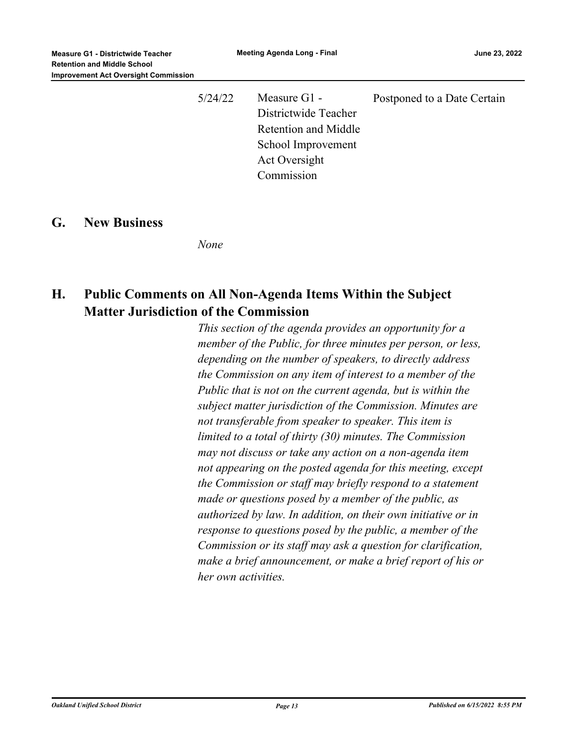5/24/22 Measure G1 - Districtwide Teacher Retention and Middle School Improvement Act Oversight Commission Postponed to a Date Certain

#### **G. New Business**

*None*

## **H. Public Comments on All Non-Agenda Items Within the Subject Matter Jurisdiction of the Commission**

*This section of the agenda provides an opportunity for a member of the Public, for three minutes per person, or less, depending on the number of speakers, to directly address the Commission on any item of interest to a member of the Public that is not on the current agenda, but is within the subject matter jurisdiction of the Commission. Minutes are not transferable from speaker to speaker. This item is limited to a total of thirty (30) minutes. The Commission may not discuss or take any action on a non-agenda item not appearing on the posted agenda for this meeting, except the Commission or staff may briefly respond to a statement made or questions posed by a member of the public, as authorized by law. In addition, on their own initiative or in response to questions posed by the public, a member of the Commission or its staff may ask a question for clarification, make a brief announcement, or make a brief report of his or her own activities.*